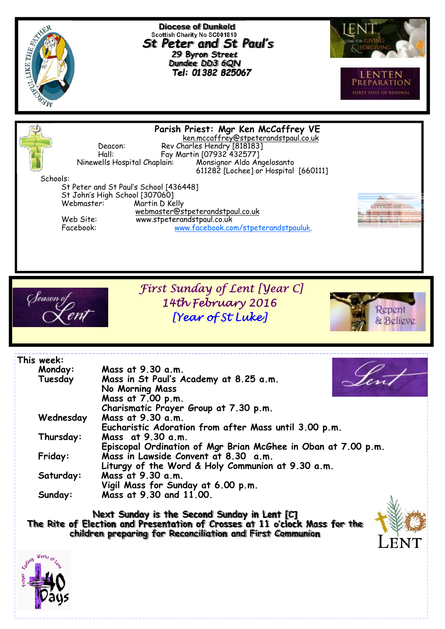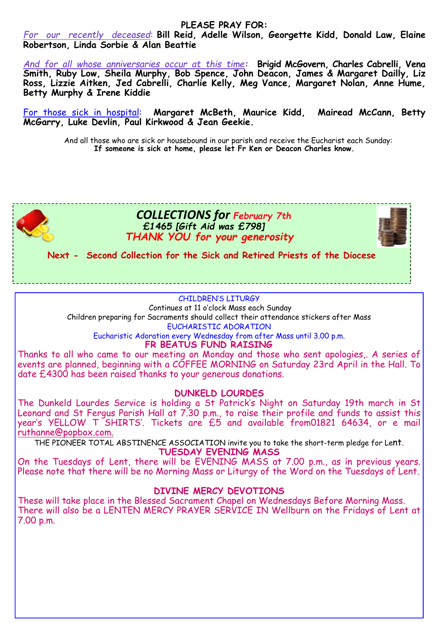#### **PLEASE PRAY FOR:**

*For our recently deceased*: **Bill Reid, Adelle Wilson, Georgette Kidd, Donald Law, Elaine Robertson, Linda Sorbie & Alan Beattie** 

*And for all whose anniversaries occur at this time:* **Brigid McGovern, Charles Cabrelli, Vena Smith, Ruby Low, Sheila Murphy, Bob Spence, John Deacon, James & Margaret Dailly, Liz Ross, Lizzie Aitken, Jed Cabrelli, Charlie Kelly, Meg Vance, Margaret Nolan, Anne Hume, Betty Murphy & Irene Kiddie** 

For those sick in hospital: **Margaret McBeth, Maurice Kidd, Mairead McCann, Betty McGarry, Luke Devlin, Paul Kirkwood & Jean Geekie.** 

And all those who are sick or housebound in our parish and receive the Eucharist each Sunday: **If someone is sick at home, please let Fr Ken or Deacon Charles know.** 



 *COLLECTIONS for February 7th £1465 [Gift Aid was £798] THANK YOU for your generosity*



**Next - Second Collection for the Sick and Retired Priests of the Diocese** 

#### CHILDREN'S LITURGY

 Continues at 11 o'clock Mass each Sunday Children preparing for Sacraments should collect their attendance stickers after Mass EUCHARISTIC ADORATION

Eucharistic Adoration every Wednesday from after Mass until 3.00 p.m.

**FR BEATUS FUND RAISING** 

Thanks to all who came to our meeting on Monday and those who sent apologies,. A series of events are planned, beginning with a COFFEE MORNING on Saturday 23rd April in the Hall. To date £4300 has been raised thanks to your generous donations.

#### **DUNKELD LOURDES**

The Dunkeld Lourdes Service is holding a St Patrick's Night on Saturday 19th march in St Leonard and St Fergus Parish Hall at 7.30 p.m., to raise their profile and funds to assist this year's YELLOW T SHIRTS'. Tickets are £5 and available from01821 64634, or e mail ruthanne@popbox.com.

THE PIONEER TOTAL ABSTINENCE ASSOCIATION invite you to take the short-term pledge for Lent.

**TUESDAY EVENING MASS** 

On the Tuesdays of Lent, there will be EVENING MASS at 7.00 p.m., as in previous years. Please note that there will be no Morning Mass or Liturgy of the Word on the Tuesdays of Lent.

#### **DIVINE MERCY DEVOTIONS**

These will take place in the Blessed Sacrament Chapel on Wednesdays Before Morning Mass. There will also be a LENTEN MERCY PRAYER SERVICE IN Wellburn on the Fridays of Lent at 7.00 p.m.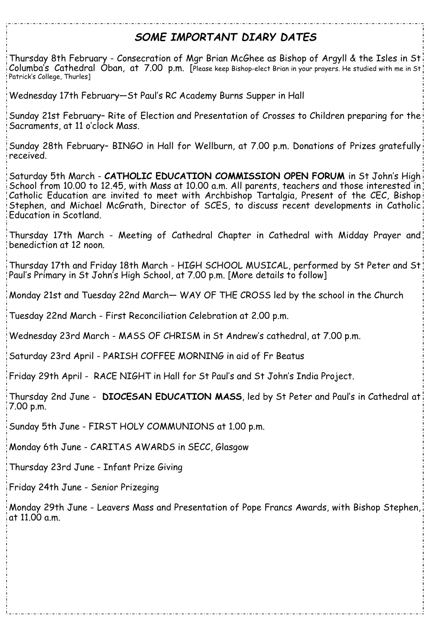# *SOME IMPORTANT DIARY DATES*

Thursday 8th February - Consecration of Mgr Brian McGhee as Bishop of Argyll & the Isles in St Columba's Cathedral Oban, at 7.00 p.m. [Please keep Bishop-elect Brian in your prayers. He studied with me in St Patrick's College, Thurles]

Wednesday 17th February—St Paul's RC Academy Burns Supper in Hall

Sunday 21st February– Rite of Election and Presentation of Crosses to Children preparing for the Sacraments, at 11 o'clock Mass.

Sunday 28th February– BINGO in Hall for Wellburn, at 7.00 p.m. Donations of Prizes gratefully received.

Saturday 5th March - **CATHOLIC EDUCATION COMMISSION OPEN FORUM** in St John's High School from 10.00 to 12.45, with Mass at 10.00 a.m. All parents, teachers and those interested in Catholic Education are invited to meet with Archbishop Tartalgia, Present of the CEC, Bishop Stephen, and Michael McGrath, Director of SCES, to discuss recent developments in Catholic Education in Scotland.

Thursday 17th March - Meeting of Cathedral Chapter in Cathedral with Midday Prayer and benediction at 12 noon.

Thursday 17th and Friday 18th March - HIGH SCHOOL MUSICAL, performed by St Peter and St Paul's Primary in St John's High School, at 7.00 p.m. [More details to follow]

Monday 21st and Tuesday 22nd March— WAY OF THE CROSS led by the school in the Church

Tuesday 22nd March - First Reconciliation Celebration at 2.00 p.m.

Wednesday 23rd March - MASS OF CHRISM in St Andrew's cathedral, at 7.00 p.m.

Saturday 23rd April - PARISH COFFEE MORNING in aid of Fr Beatus

Friday 29th April - RACE NIGHT in Hall for St Paul's and St John's India Project.

Thursday 2nd June - **DIOCESAN EDUCATION MASS**, led by St Peter and Paul's in Cathedral at 7.00 p.m.

Sunday 5th June - FIRST HOLY COMMUNIONS at 1.00 p.m.

Monday 6th June - CARITAS AWARDS in SECC, Glasgow

Thursday 23rd June - Infant Prize Giving

Friday 24th June - Senior Prizeging

Monday 29th June - Leavers Mass and Presentation of Pope Francs Awards, with Bishop Stephen, at 11.00 a.m.